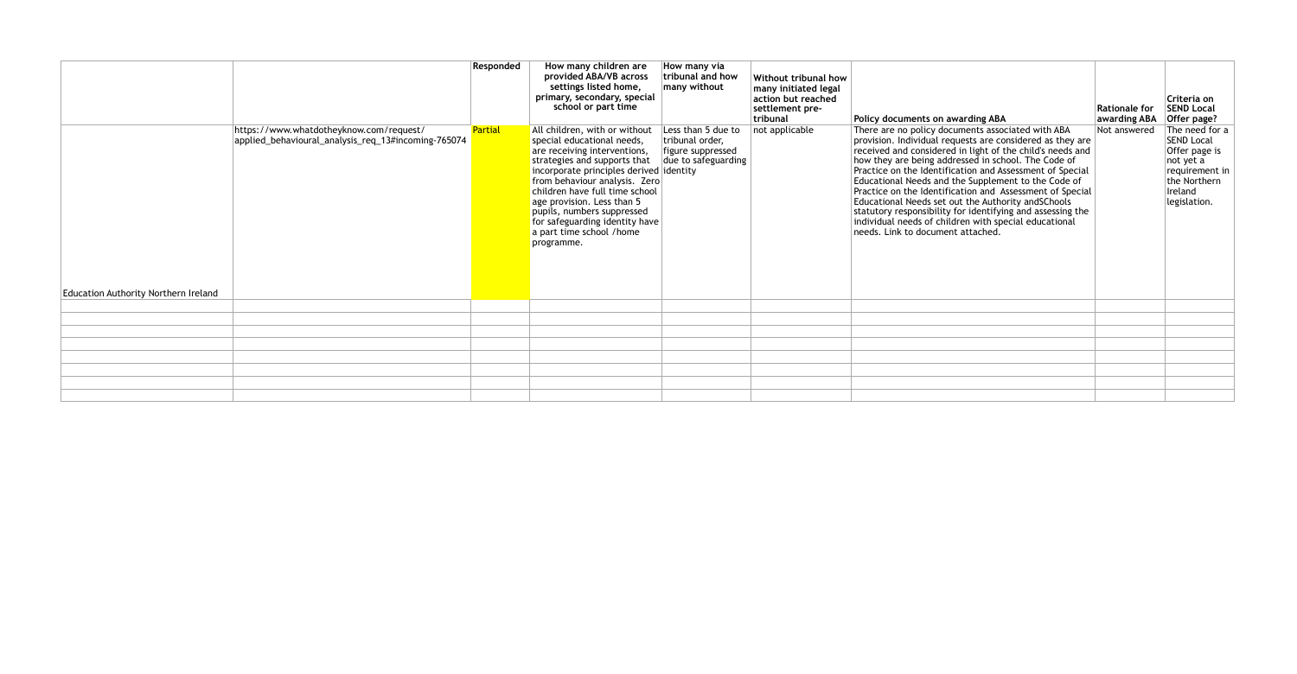|                                                                                                                                        | Responded      | How many children are<br>provided ABA/VB across<br>settings listed home,<br>primary, secondary, special<br>school or part time                                                                                                                                                                                                                                                    | How many via<br>tribunal and how<br>many without                                  | Without tribunal how<br>many initiated legal<br>action but reached<br>settlement pre-<br>  tribunal | Policy documents on awarding ABA                                                                                                                                                                                                                                                                                                                                                                                                                                                                                                                                                                                                    | <b>Rationale for</b><br>awarding ABA | Criteria on<br><b>SEND Local</b><br>Offer page?                                                                                |
|----------------------------------------------------------------------------------------------------------------------------------------|----------------|-----------------------------------------------------------------------------------------------------------------------------------------------------------------------------------------------------------------------------------------------------------------------------------------------------------------------------------------------------------------------------------|-----------------------------------------------------------------------------------|-----------------------------------------------------------------------------------------------------|-------------------------------------------------------------------------------------------------------------------------------------------------------------------------------------------------------------------------------------------------------------------------------------------------------------------------------------------------------------------------------------------------------------------------------------------------------------------------------------------------------------------------------------------------------------------------------------------------------------------------------------|--------------------------------------|--------------------------------------------------------------------------------------------------------------------------------|
| https://www.whatdotheyknow.com/request/<br>applied_behavioural_analysis_req_13#incoming-765074<br>Education Authority Northern Ireland | <b>Partial</b> | All children, with or without<br>special educational needs,<br>are receiving interventions,<br>strategies and supports that<br>incorporate principles derived identity<br>from behaviour analysis. Zero<br>children have full time school<br>age provision. Less than 5<br>pupils, numbers suppressed<br>for safeguarding identity have<br>a part time school /home<br>programme. | Less than 5 due to<br>tribunal order,<br>figure suppressed<br>due to safeguarding | not applicable                                                                                      | There are no policy documents associated with ABA<br>provision. Individual requests are considered as they are<br>received and considered in light of the child's needs and<br>how they are being addressed in school. The Code of<br>Practice on the Identification and Assessment of Special<br>Educational Needs and the Supplement to the Code of<br>Practice on the Identification and Assessment of Special<br>Educational Needs set out the Authority andSChools<br>statutory responsibility for identifying and assessing the<br>individual needs of children with special educational<br>needs. Link to document attached. | Not answered                         | The need for a<br><b>SEND Local</b><br>Offer page is<br>not yet a<br>requirement in<br>the Northern<br>Ireland<br>legislation. |
|                                                                                                                                        |                |                                                                                                                                                                                                                                                                                                                                                                                   |                                                                                   |                                                                                                     |                                                                                                                                                                                                                                                                                                                                                                                                                                                                                                                                                                                                                                     |                                      |                                                                                                                                |
|                                                                                                                                        |                |                                                                                                                                                                                                                                                                                                                                                                                   |                                                                                   |                                                                                                     |                                                                                                                                                                                                                                                                                                                                                                                                                                                                                                                                                                                                                                     |                                      |                                                                                                                                |
|                                                                                                                                        |                |                                                                                                                                                                                                                                                                                                                                                                                   |                                                                                   |                                                                                                     |                                                                                                                                                                                                                                                                                                                                                                                                                                                                                                                                                                                                                                     |                                      |                                                                                                                                |
|                                                                                                                                        |                |                                                                                                                                                                                                                                                                                                                                                                                   |                                                                                   |                                                                                                     |                                                                                                                                                                                                                                                                                                                                                                                                                                                                                                                                                                                                                                     |                                      |                                                                                                                                |
|                                                                                                                                        |                |                                                                                                                                                                                                                                                                                                                                                                                   |                                                                                   |                                                                                                     |                                                                                                                                                                                                                                                                                                                                                                                                                                                                                                                                                                                                                                     |                                      |                                                                                                                                |
|                                                                                                                                        |                |                                                                                                                                                                                                                                                                                                                                                                                   |                                                                                   |                                                                                                     |                                                                                                                                                                                                                                                                                                                                                                                                                                                                                                                                                                                                                                     |                                      |                                                                                                                                |
|                                                                                                                                        |                |                                                                                                                                                                                                                                                                                                                                                                                   |                                                                                   |                                                                                                     |                                                                                                                                                                                                                                                                                                                                                                                                                                                                                                                                                                                                                                     |                                      |                                                                                                                                |